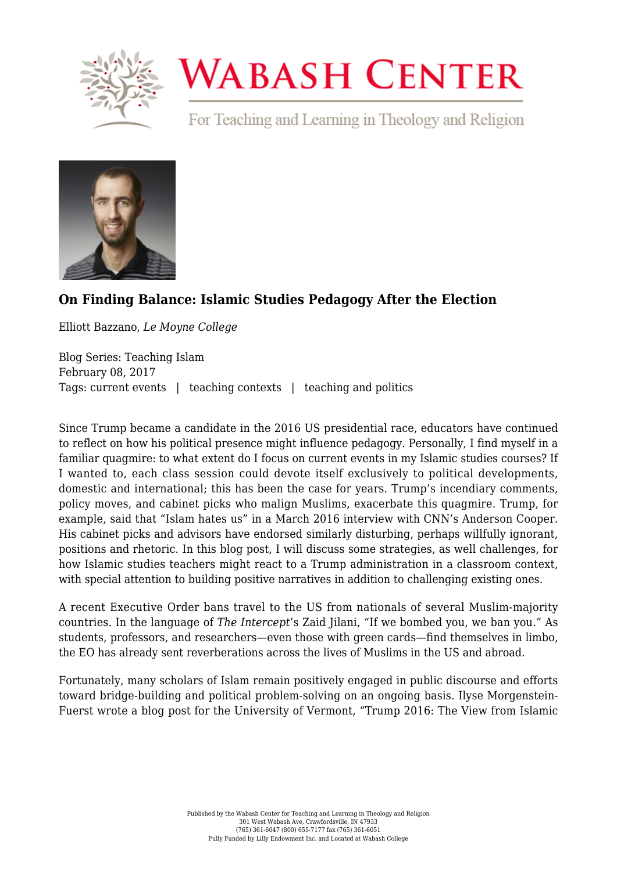

## **WABASH CENTER**

For Teaching and Learning in Theology and Religion



## **[On Finding Balance: Islamic Studies Pedagogy After the Election](https://www.wabashcenter.wabash.edu/2017/02/on-finding-balance-islamic-studies-pedagogy-after-the-election/)**

Elliott Bazzano, *Le Moyne College*

Blog Series: Teaching Islam February 08, 2017 Tags: current events | teaching contexts | teaching and politics

Since Trump became a candidate in the 2016 US presidential race, educators have continued to reflect on how his political presence might influence pedagogy. Personally, I find myself in a familiar quagmire: to what extent do I focus on current events in my Islamic studies courses? If I wanted to, each class session could devote itself exclusively to political developments, domestic and international; this has been the case for years. Trump's incendiary comments, policy moves, and cabinet picks who malign Muslims, exacerbate this quagmire. [Trump, for](https://www.nytimes.com/2017/01/26/opinion/i-think-islam-hates-us.html) [example, said that "Islam hates us](https://www.nytimes.com/2017/01/26/opinion/i-think-islam-hates-us.html)" in a March 2016 interview with CNN's Anderson Cooper. His cabinet picks and advisors have endorsed similarly disturbing, perhaps willfully ignorant, positions and rhetoric. In this blog post, I will discuss some strategies, as well challenges, for how Islamic studies teachers might react to a Trump administration in a classroom context, with special attention to building positive narratives in addition to challenging existing ones.

A recent Executive Order bans travel to the US from nationals of several Muslim-majority countries. In the language of *The Intercept*'s Zaid Jilani, "[If we bombed you, we ban you](https://theintercept.com/2017/01/25/trumps-muslim-immigration-executive-order-if-we-bombed-you-we-ban-you/)." As students, professors, and researchers—even those with green cards—find themselves in limbo, the EO has already sent reverberations across the lives of Muslims in the US and abroad.

Fortunately, many scholars of Islam remain positively engaged in public discourse and efforts toward bridge-building and political problem-solving on an ongoing basis. Ilyse Morgenstein-Fuerst wrote a blog post for the University of Vermont, ["Trump 2016: The View from Islamic](http://blog.uvm.edu/religion/2016/12/04/trump-2016-the-view-from-islamic-studies/)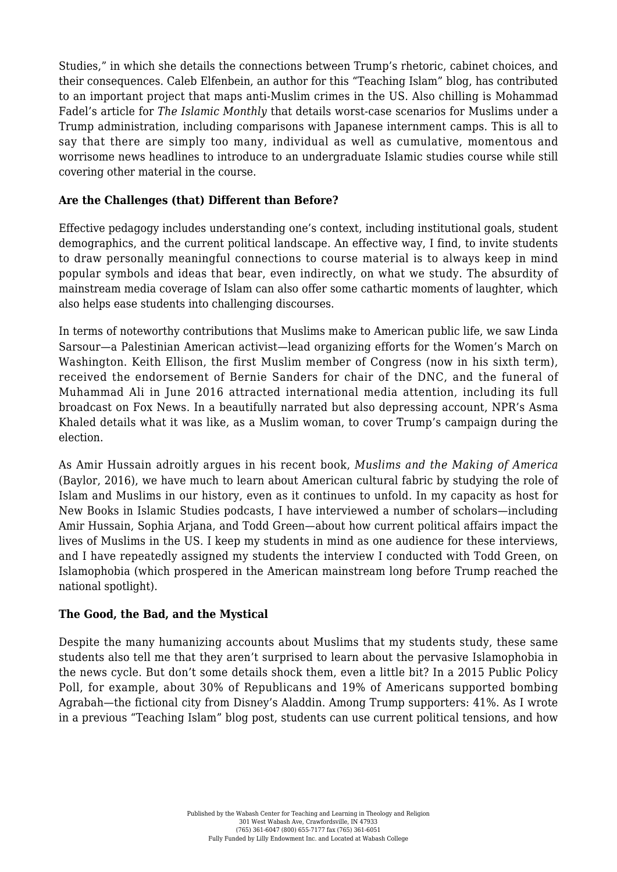[Studies,](http://blog.uvm.edu/religion/2016/12/04/trump-2016-the-view-from-islamic-studies/)" in which she details the connections between Trump's rhetoric, cabinet choices, and their consequences. Caleb Elfenbein, an author for this "Teaching Islam" blog, has contributed to an important project that maps anti-Muslim crimes in the US. Also chilling is [Mohammad](http://theislamicmonthly.com/trump-muslims-far-can-go/) [Fadel's article for](http://theislamicmonthly.com/trump-muslims-far-can-go/) *[The Islamic Monthly](http://theislamicmonthly.com/trump-muslims-far-can-go/)* that details worst-case scenarios for Muslims under a Trump administration, including comparisons with Japanese internment camps. This is all to say that there are simply too many, individual as well as cumulative, momentous and worrisome news headlines to introduce to an undergraduate Islamic studies course while still covering other material in the course.

## **Are the Challenges (that) Different than Before?**

Effective pedagogy includes understanding one's context, including institutional goals, student demographics, and the current political landscape. An effective way, I find, to invite students to draw personally meaningful connections to course material is to always keep in mind popular symbols and ideas that bear, even indirectly, on what we study. The absurdity of mainstream media coverage of Islam can also offer [some cathartic moments of laughter](https://www.wabashcenter.wabash.edu/2016/12/laughing-about-islam-and-the-media/), which also helps ease students into challenging discourses.

In terms of noteworthy contributions that Muslims make to American public life, we saw Linda Sarsour—a Palestinian American activist—lead organizing efforts for the Women's March on Washington. Keith Ellison, the first Muslim member of Congress (now in his sixth term), received the endorsement of Bernie Sanders for chair of the DNC, and [the funeral of](https://www.youtube.com/watch?v=ZpGSjYqHFV0) [Muhammad Ali](https://www.youtube.com/watch?v=ZpGSjYqHFV0) in June 2016 attracted international media attention, including its full broadcast on Fox News. In [a beautifully narrated but also depressing account,](http://www.npr.org/2016/12/07/504486620/reporters-notebook-what-a-muslim-on-the-campaign-trail-in-2016) NPR's Asma Khaled details what it was like, as a Muslim woman, to cover Trump's campaign during the election.

As Amir Hussain adroitly argues in his recent book, *Muslims and the Making of America* (Baylor, 2016), we have much to learn about American cultural fabric by studying the role of Islam and Muslims in our history, even as it continues to unfold. In my capacity as host for [New Books in Islamic Studies](http://newbooksnetwork.com/category/religion-faith/islamic-studies/) podcasts, I have interviewed a number of scholars—including Amir Hussain, Sophia Arjana, and Todd Green—about how current political affairs impact the lives of Muslims in the US. I keep my students in mind as one audience for these interviews, and I have repeatedly assigned my students the interview I conducted with Todd Green, on Islamophobia (which prospered in the American mainstream long before Trump reached the national spotlight).

## **The Good, the Bad, and the Mystical**

Despite the many humanizing accounts about Muslims that my students study, these same students also tell me that they aren't surprised to learn about the pervasive Islamophobia in the news cycle. But don't some details shock them, even a little bit? In a 2015 Public Policy Poll, for example, about [30% of Republicans and 19% of Americans supported bombing](https://www.washingtonpost.com/news/volokh-conspiracy/wp/2015/12/18/political-ignorance-and-bombing-agrabah/?utm_term=.ac372ab3913a) [Agrabah](https://www.washingtonpost.com/news/volokh-conspiracy/wp/2015/12/18/political-ignorance-and-bombing-agrabah/?utm_term=.ac372ab3913a)—the fictional city from Disney's Aladdin. Among Trump supporters: 41%. As I wrote in [a previous "Teaching Islam" blog post,](https://www.wabashcenter.wabash.edu/2016/08/sufism-stereotypes-and-spiritual-struggle-2/) students can use current political tensions, and how